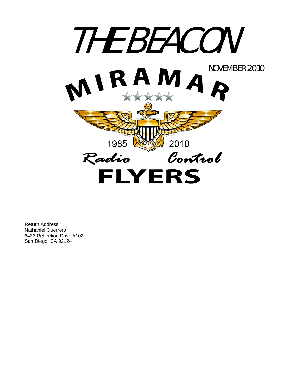

Return Address: Nathaniel Guerrero 6433 Reflection Drive #102 San Diego, CA 92124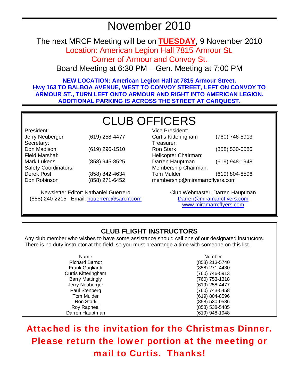# November 2010

The next MRCF Meeting will be on **TUESDAY**, 9 November 2010

Location: American Legion Hall 7815 Armour St.

Corner of Armour and Convoy St.

Board Meeting at 6:30 PM – Gen. Meeting at 7:00 PM

**NEW LOCATION: American Legion Hall at 7815 Armour Street. Hwy 163 TO BALBOA AVENUE, WEST TO CONVOY STREET, LEFT ON CONVOY TO ARMOUR ST., TURN LEFT ONTO ARMOUR AND RIGHT INTO AMERICAN LEGION. ADDITIONAL PARKING IS ACROSS THE STREET AT CARQUEST.** 

# CLUB OFFICERS

President: Jerry Neuberger (619) 258-4477 Secretary:<br>Don Madison Don Madison (619) 296-1510 Field Marshal: Mark Lukens (858) 945-8525 Safety Coordinators: Derek Post Don Robinson (858) 842-4634 (858) 271-6452

Newsletter Editor: Nathaniel Guerrero (858) 240-2215 Email: nguerrero@san.rr.com

| (760) 746-5913                 |  |  |
|--------------------------------|--|--|
|                                |  |  |
| (858) 530-0586                 |  |  |
|                                |  |  |
| (619) 948-1948                 |  |  |
|                                |  |  |
| (619) 804-8596                 |  |  |
| membership@miramarrcflyers.com |  |  |
|                                |  |  |

Club Webmaster: Darren Hauptman Darren@miramarrcflyers.com www.miramarrcflyers.com

# **CLUB FLIGHT INSTRUCTORS**

Any club member who wishes to have some assistance should call one of our designated instructors. There is no duty instructor at the field, so you must prearrange a time with someone on this list.

| Name                   | <b>Number</b>  |
|------------------------|----------------|
| <b>Richard Barndt</b>  | (858) 213-5740 |
| Frank Gagliardi        | (858) 271-4430 |
| Curtis Kitteringham    | (760) 746-5913 |
| <b>Barry Mattingly</b> | (760) 753-1318 |
| Jerry Neuberger        | (619) 258-4477 |
| Paul Stenberg          | (760) 743-5458 |
| <b>Tom Mulder</b>      | (619) 804-8596 |
| <b>Ron Stark</b>       | (858) 530-0586 |
| Roy Rapheal            | (858) 538-5485 |
| Darren Hauptman        | (619) 948-1948 |

Attached is the invitation for the Christmas Dinner. Please return the lower portion at the meeting or mail to Curtis. Thanks!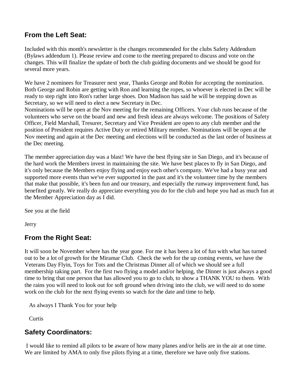### **From the Left Seat:**

Included with this month's newsletter is the changes recommended for the clubs Safety Addendum (Bylaws addendum 1). Please review and come to the meeting prepared to discuss and vote on the changes. This will finalize the update of both the club guiding documents and we should be good for several more years.

We have 2 nominees for Treasurer next year, Thanks George and Robin for accepting the nomination. Both George and Robin are getting with Ron and learning the ropes, so whoever is elected in Dec will be ready to step right into Ron's rather large shoes. Don Madison has said he will be stepping down as Secretary, so we will need to elect a new Secretary in Dec.

Nominations will be open at the Nov meeting for the remaining Officers. Your club runs because of the volunteers who serve on the board and new and fresh ideas are always welcome. The positions of Safety Officer, Field Marshall, Tresurer, Secretary and Vice President are open to any club member and the position of President requires Active Duty or retired Military member. Nominations will be open at the Nov meeting and again at the Dec meeting and elections will be conducted as the last order of business at the Dec meeting.

The member appreciation day was a blast! We have the best flying site in San Diego, and it's because of the hard work the Members invest in maintaining the site. We have best places to fly in San Diego, and it's only because the Members enjoy flying and enjoy each other's company. We've had a busy year and supported more events than we've ever supported in the past and it's the volunteer time by the members that make that possible, it's been fun and our treasury, and especially the runway improvement fund, has benefited greatly. We really do appreciate everything you do for the club and hope you had as much fun at the Member Appreciation day as I did.

See you at the field

**Jerry** 

# **From the Right Seat:**

It will soon be November where has the year gone. For me it has been a lot of fun with what has turned out to be a lot of growth for the Miramar Club. Check the web for the up coming events, we have the Veterans Day Flyin, Toys for Tots and the Christmas Dinner all of which we should see a full membership taking part. For the first two flying a model and/or helping, the Dinner is just always a good time to bring that one person that has allowed you to go to club, to show a THANK YOU to them. With the rains you will need to look out for soft ground when driving into the club, we will need to do some work on the club for the next flying events so watch for the date and time to help.

As always I Thank You for your help

**Curtis** 

# **Safety Coordinators:**

 I would like to remind all pilots to be aware of how many planes and/or helis are in the air at one time. We are limited by AMA to only five pilots flying at a time, therefore we have only five stations.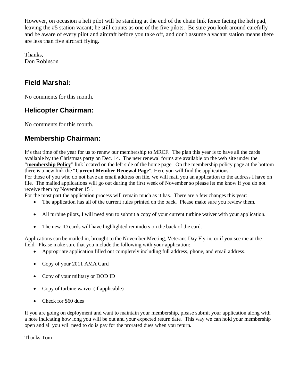However, on occasion a heli pilot will be standing at the end of the chain link fence facing the heli pad, leaving the #5 station vacant; he still counts as one of the five pilots. Be sure you look around carefully and be aware of every pilot and aircraft before you take off, and don't assume a vacant station means there are less than five aircraft flying.

Thanks, Don Robinson

# **Field Marshal:**

No comments for this month.

# **Helicopter Chairman:**

No comments for this month.

# **Membership Chairman:**

It's that time of the year for us to renew our membership to MRCF. The plan this year is to have all the cards available by the Christmas party on Dec. 14. The new renewal forms are available on the web site under the "**membership Policy**" link located on the left side of the home page. On the membership policy page at the bottom there is a new link the "**Current Member Renewal Page**". Here you will find the applications. For those of you who do not have an email address on file, we will mail you an application to the address I have on file. The mailed applications will go out during the first week of November so please let me know if you do not receive them by November 15<sup>th</sup>.

For the most part the application process will remain much as it has. There are a few changes this year:

- The application has all of the current rules printed on the back. Please make sure you review them.
- All turbine pilots, I will need you to submit a copy of your current turbine waiver with your application.
- The new ID cards will have highlighted reminders on the back of the card.

Applications can be mailed in, brought to the November Meeting, Veterans Day Fly-in, or if you see me at the field. Please make sure that you include the following with your application:

- Appropriate application filled out completely including full address, phone, and email address.
- Copy of your 2011 AMA Card
- Copy of your military or DOD ID
- Copy of turbine waiver (if applicable)
- Check for \$60 dues

If you are going on deployment and want to maintain your membership, please submit your application along with a note indicating how long you will be out and your expected return date. This way we can hold your membership open and all you will need to do is pay for the prorated dues when you return.

Thanks Tom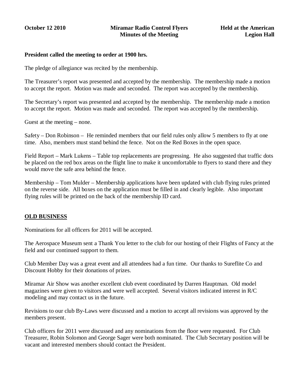#### **President called the meeting to order at 1900 hrs.**

The pledge of allegiance was recited by the membership.

The Treasurer's report was presented and accepted by the membership. The membership made a motion to accept the report. Motion was made and seconded. The report was accepted by the membership.

The Secretary's report was presented and accepted by the membership. The membership made a motion to accept the report. Motion was made and seconded. The report was accepted by the membership.

Guest at the meeting – none.

Safety – Don Robinson – He reminded members that our field rules only allow 5 members to fly at one time. Also, members must stand behind the fence. Not on the Red Boxes in the open space.

Field Report – Mark Lukens – Table top replacements are progressing. He also suggested that traffic dots be placed on the red box areas on the flight line to make it uncomfortable to flyers to stand there and they would move the safe area behind the fence.

Membership – Tom Mulder – Membership applications have been updated with club flying rules printed on the reverse side. All boxes on the application must be filled in and clearly legible. Also important flying rules will be printed on the back of the membership ID card.

#### **OLD BUSINESS**

Nominations for all officers for 2011 will be accepted.

The Aerospace Museum sent a Thank You letter to the club for our hosting of their Flights of Fancy at the field and our continued support to them.

Club Member Day was a great event and all attendees had a fun time. Our thanks to Sureflite Co and Discount Hobby for their donations of prizes.

Miramar Air Show was another excellent club event coordinated by Darren Hauptman. Old model magazines were given to visitors and were well accepted. Several visitors indicated interest in R/C modeling and may contact us in the future.

Revisions to our club By-Laws were discussed and a motion to accept all revisions was approved by the members present.

Club officers for 2011 were discussed and any nominations from the floor were requested. For Club Treasurer, Robin Solomon and George Sager were both nominated. The Club Secretary position will be vacant and interested members should contact the President.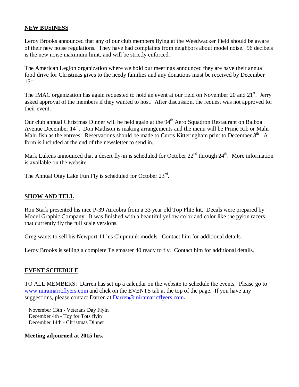#### **NEW BUSINESS**

Leroy Brooks announced that any of our club members flying at the Weedwacker Field should be aware of their new noise regulations. They have had complaints from neighbors about model noise. 96 decibels is the new noise maximum limit, and will be strictly enforced.

The American Legion organization where we hold our meetings announced they are have their annual food drive for Christmas gives to the needy families and any donations must be received by December  $15^{th}$ .

The IMAC organization has again requested to hold an event at our field on November 20 and 21<sup>st</sup>. Jerry asked approval of the members if they wanted to host. After discussion, the request was not approved for their event.

Our club annual Christmas Dinner will be held again at the 94<sup>th</sup> Aero Squadron Restaurant on Balboa Avenue December  $14<sup>th</sup>$ . Don Madison is making arrangements and the menu will be Prime Rib or Mahi Mahi fish as the entrees. Reservations should be made to Curtis Kitteringham print to December  $8<sup>th</sup>$ . A form is included at the end of the newsletter to send in.

Mark Lukens announced that a desert fly-in is scheduled for October 22<sup>nd</sup> through 24<sup>th</sup>. More information is available on the website.

The Annual Otay Lake Fun Fly is scheduled for October 23rd.

#### **SHOW AND TELL**

Ron Stark presented his nice P-39 Aircobra from a 33 year old Top Flite kit. Decals were prepared by Model Graphic Company. It was finished with a beautiful yellow color and color like the pylon racers that currently fly the full scale versions.

Greg wants to sell his Newport 11 his Chipmunk models. Contact him for additional details.

Leroy Brooks is selling a complete Telemaster 40 ready to fly. Contact him for additional details.

#### **EVENT SCHEDULE**

TO ALL MEMBERS: Darren has set up a calendar on the website to schedule the events. Please go to www.miramarrcflyers.com and click on the EVENTS tab at the top of the page. If you have any suggestions, please contact Darren at Darren@miramarrcflyers.com.

 November 13th - Veterans Day Flyin December 4th - Toy for Tots flyin December 14th - Christmas Dinner

#### **Meeting adjourned at 2015 hrs.**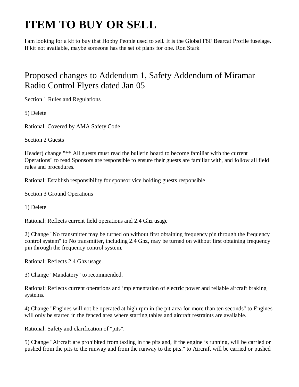# **ITEM TO BUY OR SELL**

I'am looking for a kit to buy that Hobby People used to sell. It is the Global F8F Bearcat Profile fuselage. If kit not available, maybe someone has the set of plans for one. Ron Stark

# Proposed changes to Addendum 1, Safety Addendum of Miramar Radio Control Flyers dated Jan 05

Section 1 Rules and Regulations

5) Delete

Rational: Covered by AMA Safety Code

Section 2 Guests

Header) change "\*\* All guests must read the bulletin board to become familiar with the current Operations" to read Sponsors are responsible to ensure their guests are familiar with, and follow all field rules and procedures.

Rational: Establish responsibility for sponsor vice holding guests responsible

Section 3 Ground Operations

1) Delete

Rational: Reflects current field operations and 2.4 Ghz usage

2) Change "No transmitter may be turned on without first obtaining frequency pin through the frequency control system" to No transmitter, including 2.4 Ghz, may be turned on without first obtaining frequency pin through the frequency control system.

Rational: Reflects 2.4 Ghz usage.

3) Change "Mandatory" to recommended.

Rational: Reflects current operations and implementation of electric power and reliable aircraft braking systems.

4) Change "Engines will not be operated at high rpm in the pit area for more than ten seconds" to Engines will only be started in the fenced area where starting tables and aircraft restraints are available.

Rational: Safety and clarification of "pits".

5) Change "Aircraft are prohibited from taxiing in the pits and, if the engine is running, will be carried or pushed from the pits to the runway and from the runway to the pits." to Aircraft will be carried or pushed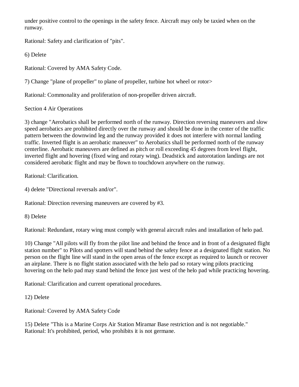under positive control to the openings in the safety fence. Aircraft may only be taxied when on the runway.

Rational: Safety and clarification of "pits".

6) Delete

Rational: Covered by AMA Safety Code.

7) Change "plane of propeller" to plane of propeller, turbine hot wheel or rotor>

Rational: Commonality and proliferation of non-propeller driven aircraft.

Section 4 Air Operations

3) change "Aerobatics shall be performed north of the runway. Direction reversing maneuvers and slow speed aerobatics are prohibited directly over the runway and should be done in the center of the traffic pattern between the downwind leg and the runway provided it does not interfere with normal landing traffic. Inverted flight is an aerobatic maneuver" to Aerobatics shall be performed north of the runway centerline. Aerobatic maneuvers are defined as pitch or roll exceeding 45 degrees from level flight, inverted flight and hovering (fixed wing and rotary wing). Deadstick and autorotation landings are not considered aerobatic flight and may be flown to touchdown anywhere on the runway.

Rational: Clarification.

4) delete "Directional reversals and/or".

Rational: Direction reversing maneuvers are covered by #3.

8) Delete

Rational: Redundant, rotary wing must comply with general aircraft rules and installation of helo pad.

10) Change "All pilots will fly from the pilot line and behind the fence and in front of a designated flight station number" to Pilots and spotters will stand behind the safety fence at a designated flight station. No person on the flight line will stand in the open areas of the fence except as required to launch or recover an airplane. There is no flight station associated with the helo pad so rotary wing pilots practicing hovering on the helo pad may stand behind the fence just west of the helo pad while practicing hovering.

Rational: Clarification and current operational procedures.

12) Delete

Rational: Covered by AMA Safety Code

15) Delete "This is a Marine Corps Air Station Miramar Base restriction and is not negotiable." Rational: It's prohibited, period, who prohibits it is not germane.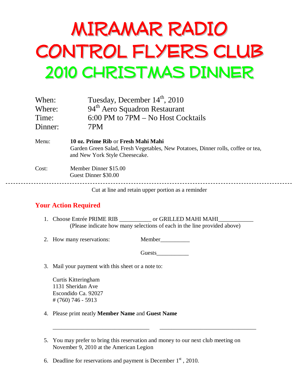# MIRAMAR RADIO CONTROL FLYERS CLUB 2010 CHRISTMAS DINNER

| When:   | Tuesday, December 14 <sup>th</sup> , 2010                                                                                                                 |
|---------|-----------------------------------------------------------------------------------------------------------------------------------------------------------|
| Where:  | 94 <sup>th</sup> Aero Squadron Restaurant                                                                                                                 |
| Time:   | 6:00 PM to 7PM - No Host Cocktails                                                                                                                        |
| Dinner: | 7PM                                                                                                                                                       |
| Menu:   | 10 oz. Prime Rib or Fresh Mahi Mahi<br>Garden Green Salad, Fresh Vegetables, New Potatoes, Dinner rolls, coffee or tea,<br>and New York Style Cheesecake. |
| Cost:   | Member Dinner \$15.00<br>Guest Dinner \$30.00                                                                                                             |
|         | Cut at line and retain upper portion as a reminder                                                                                                        |

# **Your Action Required**

- 1. Choose Entrée PRIME RIB \_\_\_\_\_\_\_\_\_\_\_\_\_\_\_ or GRILLED MAHI MAHI\_\_\_\_\_\_\_\_\_\_\_\_\_\_\_\_\_ (Please indicate how many selections of each in the line provided above)
- 2. How many reservations: Member

Guests

3. Mail your payment with this sheet or a note to:

Curtis Kitteringham 1131 Sheridan Ave Escondido Ca. 92027 # (760) 746 - 5913

- 4. Please print neatly **Member Name** and **Guest Name**
- 5. You may prefer to bring this reservation and money to our next club meeting on November 9, 2010 at the American Legion

\_\_\_\_\_\_\_\_\_\_\_\_\_\_\_\_\_\_\_\_\_\_\_\_\_\_\_\_\_\_\_\_\_ \_\_\_\_\_\_\_\_\_\_\_\_\_\_\_\_\_\_\_\_\_\_\_\_\_\_\_\_\_\_\_\_\_

6. Deadline for reservations and payment is December  $1<sup>st</sup>$ , 2010.